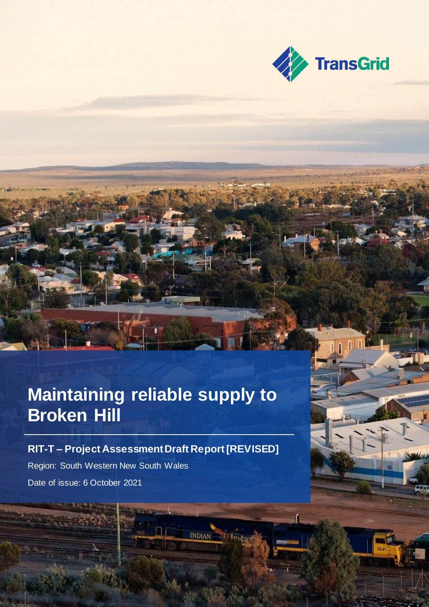

## **Maintaining reliable supply to Broken Hill**

### **RIT-T – Project Assessment Draft Report [REVISED]**

**INDIAN** 

Region: South Western New South Wales Date of issue: 6 October 2021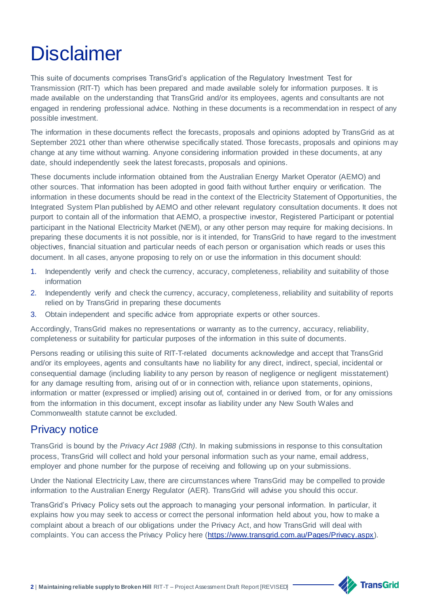# **Disclaimer**

This suite of documents comprises TransGrid's application of the Regulatory Investment Test for Transmission (RIT-T) which has been prepared and made available solely for information purposes. It is made available on the understanding that TransGrid and/or its employees, agents and consultants are not engaged in rendering professional advice. Nothing in these documents is a recommendation in respect of any possible investment.

The information in these documents reflect the forecasts, proposals and opinions adopted by TransGrid as at September 2021 other than where otherwise specifically stated. Those forecasts, proposals and opinions may change at any time without warning. Anyone considering information provided in these documents, at any date, should independently seek the latest forecasts, proposals and opinions.

These documents include information obtained from the Australian Energy Market Operator (AEMO) and other sources. That information has been adopted in good faith without further enquiry or verification. The information in these documents should be read in the context of the Electricity Statement of Opportunities, the Integrated System Plan published by AEMO and other relevant regulatory consultation documents. It does not purport to contain all of the information that AEMO, a prospective investor, Registered Participant or potential participant in the National Electricity Market (NEM), or any other person may require for making decisions. In preparing these documents it is not possible, nor is it intended, for TransGrid to have regard to the investment objectives, financial situation and particular needs of each person or organisation which reads or uses this document. In all cases, anyone proposing to rely on or use the information in this document should:

- 1. Independently verify and check the currency, accuracy, completeness, reliability and suitability of those information
- 2. Independently verify and check the currency, accuracy, completeness, reliability and suitability of reports relied on by TransGrid in preparing these documents
- 3. Obtain independent and specific advice from appropriate experts or other sources.

Accordingly, TransGrid makes no representations or warranty as to the currency, accuracy, reliability, completeness or suitability for particular purposes of the information in this suite of documents.

Persons reading or utilising this suite of RIT-T-related documents acknowledge and accept that TransGrid and/or its employees, agents and consultants have no liability for any direct, indirect, special, incidental or consequential damage (including liability to any person by reason of negligence or negligent misstatement) for any damage resulting from, arising out of or in connection with, reliance upon statements, opinions, information or matter (expressed or implied) arising out of, contained in or derived from, or for any omissions from the information in this document, except insofar as liability under any New South Wales and Commonwealth statute cannot be excluded.

### Privacy notice

TransGrid is bound by the *Privacy Act 1988 (Cth)*. In making submissions in response to this consultation process, TransGrid will collect and hold your personal information such as your name, email address, employer and phone number for the purpose of receiving and following up on your submissions.

Under the National Electricity Law, there are circumstances where TransGrid may be compelled to provide information to the Australian Energy Regulator (AER). TransGrid will advise you should this occur.

TransGrid's Privacy Policy sets out the approach to managing your personal information. In particular, it explains how you may seek to access or correct the personal information held about you, how to make a complaint about a breach of our obligations under the Privacy Act, and how TransGrid will deal with complaints. You can access the Privacy Policy here [\(https://www.transgrid.com.au/Pages/Privacy.aspx\)](https://www.transgrid.com.au/Pages/Privacy.aspx).

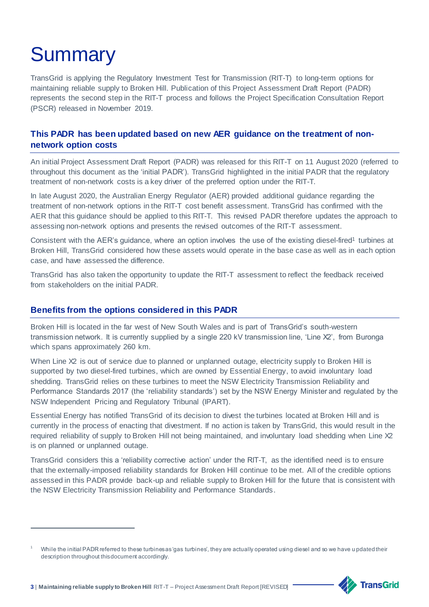# **Summary**

 $\overline{a}$ 

TransGrid is applying the Regulatory Investment Test for Transmission (RIT-T) to long-term options for maintaining reliable supply to Broken Hill. Publication of this Project Assessment Draft Report (PADR) represents the second step in the RIT-T process and follows the Project Specification Consultation Report (PSCR) released in November 2019.

#### **This PADR has been updated based on new AER guidance on the treatment of nonnetwork option costs**

An initial Project Assessment Draft Report (PADR) was released for this RIT-T on 11 August 2020 (referred to throughout this document as the 'initial PADR'). TransGrid highlighted in the initial PADR that the regulatory treatment of non-network costs is a key driver of the preferred option under the RIT-T.

In late August 2020, the Australian Energy Regulator (AER) provided additional guidance regarding the treatment of non-network options in the RIT-T cost benefit assessment. TransGrid has confirmed with the AER that this guidance should be applied to this RIT-T. This revised PADR therefore updates the approach to assessing non-network options and presents the revised outcomes of the RIT-T assessment.

Consistent with the AER's guidance, where an option involves the use of the existing diesel-fired<sup>1</sup> turbines at Broken Hill, TransGrid considered how these assets would operate in the base case as well as in each option case, and have assessed the difference.

TransGrid has also taken the opportunity to update the RIT-T assessment to reflect the feedback received from stakeholders on the initial PADR.

#### **Benefits from the options considered in this PADR**

Broken Hill is located in the far west of New South Wales and is part of TransGrid's south-western transmission network. It is currently supplied by a single 220 kV transmission line, 'Line X2', from Buronga which spans approximately 260 km.

When Line X2 is out of service due to planned or unplanned outage, electricity supply to Broken Hill is supported by two diesel-fired turbines, which are owned by Essential Energy, to avoid involuntary load shedding. TransGrid relies on these turbines to meet the NSW Electricity Transmission Reliability and Performance Standards 2017 (the 'reliability standards') set by the NSW Energy Minister and regulated by the NSW Independent Pricing and Regulatory Tribunal (IPART).

Essential Energy has notified TransGrid of its decision to divest the turbines located at Broken Hill and is currently in the process of enacting that divestment. If no action is taken by TransGrid, this would result in the required reliability of supply to Broken Hill not being maintained, and involuntary load shedding when Line X2 is on planned or unplanned outage.

TransGrid considers this a 'reliability corrective action' under the RIT-T, as the identified need is to ensure that the externally-imposed reliability standards for Broken Hill continue to be met. All of the credible options assessed in this PADR provide back-up and reliable supply to Broken Hill for the future that is consistent with the NSW Electricity Transmission Reliability and Performance Standards.

While the initial PADR referred to these turbines as 'gas turbines', they are actually operated using diesel and so we have u pdated their description throughout this document accordingly.

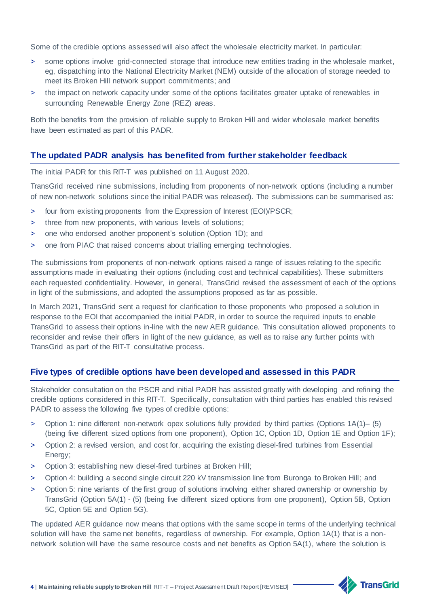Some of the credible options assessed will also affect the wholesale electricity market. In particular:

- > some options involve grid-connected storage that introduce new entities trading in the wholesale market, eg, dispatching into the National Electricity Market (NEM) outside of the allocation of storage needed to meet its Broken Hill network support commitments; and
- > the impact on network capacity under some of the options facilitates greater uptake of renewables in surrounding Renewable Energy Zone (REZ) areas.

Both the benefits from the provision of reliable supply to Broken Hill and wider wholesale market benefits have been estimated as part of this PADR.

#### **The updated PADR analysis has benefited from further stakeholder feedback**

The initial PADR for this RIT-T was published on 11 August 2020.

TransGrid received nine submissions, including from proponents of non-network options (including a number of new non-network solutions since the initial PADR was released). The submissions can be summarised as:

- > four from existing proponents from the Expression of Interest (EOI)/PSCR;
- > three from new proponents, with various levels of solutions;
- > one who endorsed another proponent's solution (Option 1D); and
- > one from PIAC that raised concerns about trialling emerging technologies.

The submissions from proponents of non-network options raised a range of issues relating to the specific assumptions made in evaluating their options (including cost and technical capabilities). These submitters each requested confidentiality. However, in general, TransGrid revised the assessment of each of the options in light of the submissions, and adopted the assumptions proposed as far as possible.

In March 2021, TransGrid sent a request for clarification to those proponents who proposed a solution in response to the EOI that accompanied the initial PADR, in order to source the required inputs to enable TransGrid to assess their options in-line with the new AER guidance. This consultation allowed proponents to reconsider and revise their offers in light of the new guidance, as well as to raise any further points with TransGrid as part of the RIT-T consultative process.

#### **Five types of credible options have been developed and assessed in this PADR**

Stakeholder consultation on the PSCR and initial PADR has assisted greatly with developing and refining the credible options considered in this RIT-T. Specifically, consultation with third parties has enabled this revised PADR to assess the following five types of credible options:

- > Option 1: nine different non-network opex solutions fully provided by third parties (Options 1A(1)– (5) (being five different sized options from one proponent), Option 1C, Option 1D, Option 1E and Option 1F);
- > Option 2: a revised version, and cost for, acquiring the existing diesel-fired turbines from Essential Energy;
- > Option 3: establishing new diesel-fired turbines at Broken Hill;
- > Option 4: building a second single circuit 220 kV transmission line from Buronga to Broken Hill; and
- > Option 5: nine variants of the first group of solutions involving either shared ownership or ownership by TransGrid (Option 5A(1) - (5) (being five different sized options from one proponent), Option 5B, Option 5C, Option 5E and Option 5G).

The updated AER guidance now means that options with the same scope in terms of the underlying technical solution will have the same net benefits, regardless of ownership. For example, Option 1A(1) that is a nonnetwork solution will have the same resource costs and net benefits as Option 5A(1), where the solution is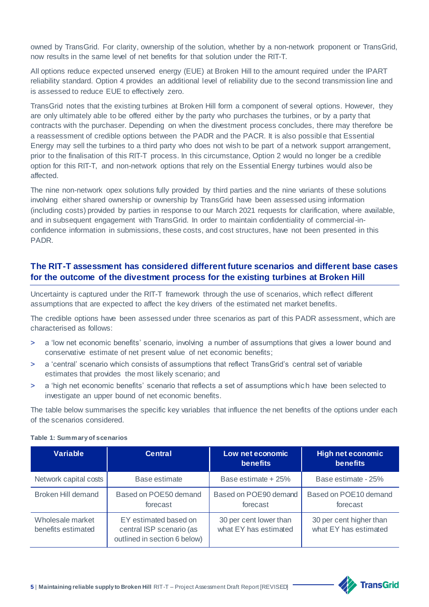owned by TransGrid. For clarity, ownership of the solution, whether by a non-network proponent or TransGrid, now results in the same level of net benefits for that solution under the RIT-T.

All options reduce expected unserved energy (EUE) at Broken Hill to the amount required under the IPART reliability standard. Option 4 provides an additional level of reliability due to the second transmission line and is assessed to reduce EUE to effectively zero.

TransGrid notes that the existing turbines at Broken Hill form a component of several options. However, they are only ultimately able to be offered either by the party who purchases the turbines, or by a party that contracts with the purchaser. Depending on when the divestment process concludes, there may therefore be a reassessment of credible options between the PADR and the PACR. It is also possible that Essential Energy may sell the turbines to a third party who does not wish to be part of a network support arrangement, prior to the finalisation of this RIT-T process. In this circumstance, Option 2 would no longer be a credible option for this RIT-T, and non-network options that rely on the Essential Energy turbines would also be affected.

The nine non-network opex solutions fully provided by third parties and the nine variants of these solutions involving either shared ownership or ownership by TransGrid have been assessed using information (including costs) provided by parties in response to our March 2021 requests for clarification, where available, and in subsequent engagement with TransGrid. In order to maintain confidentiality of commercial-inconfidence information in submissions, these costs, and cost structures, have not been presented in this PADR.

#### **The RIT-T assessment has considered different future scenarios and different base cases for the outcome of the divestment process for the existing turbines at Broken Hill**

Uncertainty is captured under the RIT-T framework through the use of scenarios, which reflect different assumptions that are expected to affect the key drivers of the estimated net market benefits.

The credible options have been assessed under three scenarios as part of this PADR assessment, which are characterised as follows:

- > a 'low net economic benefits' scenario, involving a number of assumptions that gives a lower bound and conservative estimate of net present value of net economic benefits;
- > a 'central' scenario which consists of assumptions that reflect TransGrid's central set of variable estimates that provides the most likely scenario; and
- > a 'high net economic benefits' scenario that reflects a set of assumptions which have been selected to investigate an upper bound of net economic benefits.

The table below summarises the specific key variables that influence the net benefits of the options under each of the scenarios considered.

| <b>Variable</b>                        | <b>Central</b>                                                                    | Low net economic<br><b>benefits</b>             | High net economic<br><b>benefits</b>             |
|----------------------------------------|-----------------------------------------------------------------------------------|-------------------------------------------------|--------------------------------------------------|
| Network capital costs                  | Base estimate                                                                     | Base estimate + 25%                             | Base estimate - 25%                              |
| Broken Hill demand                     | Based on POE50 demand<br>forecast                                                 | Based on POE90 demand<br>forecast               | Based on POE10 demand<br>forecast                |
| Wholesale market<br>benefits estimated | EY estimated based on<br>central ISP scenario (as<br>outlined in section 6 below) | 30 per cent lower than<br>what EY has estimated | 30 per cent higher than<br>what EY has estimated |

#### **Table 1: Summary of scenarios**

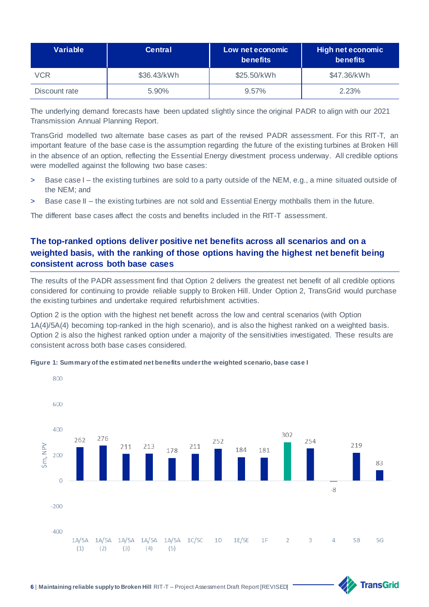| Variable      | <b>Central</b> | Low net economic<br><b>benefits</b> | High net economic<br><b>benefits</b> |
|---------------|----------------|-------------------------------------|--------------------------------------|
| VCR           | \$36.43/kWh    | \$25.50/kWh                         | \$47.36/kWh                          |
| Discount rate | 5.90%          | 9.57%                               | 2.23%                                |

The underlying demand forecasts have been updated slightly since the original PADR to align with our 2021 Transmission Annual Planning Report.

TransGrid modelled two alternate base cases as part of the revised PADR assessment. For this RIT-T, an important feature of the base case is the assumption regarding the future of the existing turbines at Broken Hill in the absence of an option, reflecting the Essential Energy divestment process underway. All credible options were modelled against the following two base cases:

- > Base case I the existing turbines are sold to a party outside of the NEM, e.g., a mine situated outside of the NEM; and
- > Base case II the existing turbines are not sold and Essential Energy mothballs them in the future.

The different base cases affect the costs and benefits included in the RIT-T assessment.

#### **The top-ranked options deliver positive net benefits across all scenarios and on a weighted basis, with the ranking of those options having the highest net benefit being consistent across both base cases**

The results of the PADR assessment find that Option 2 delivers the greatest net benefit of all credible options considered for continuing to provide reliable supply to Broken Hill. Under Option 2, TransGrid would purchase the existing turbines and undertake required refurbishment activities.

Option 2 is the option with the highest net benefit across the low and central scenarios (with Option 1A(4)/5A(4) becoming top-ranked in the high scenario), and is also the highest ranked on a weighted basis. Option 2 is also the highest ranked option under a majority of the sensitivities investigated. These results are consistent across both base cases considered.



**TransGrid** 

**Figure 1: Summary of the estimated net benefits under the weighted scenario, base case I**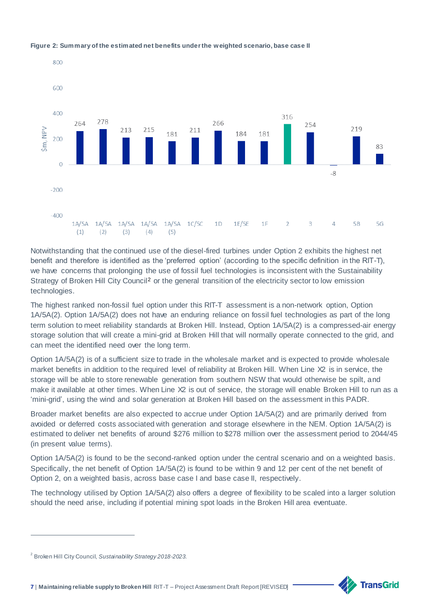

#### **Figure 2: Summary of the estimated net benefits under the weighted scenario, base case II**

Notwithstanding that the continued use of the diesel-fired turbines under Option 2 exhibits the highest net benefit and therefore is identified as the 'preferred option' (according to the specific definition in the RIT-T), we have concerns that prolonging the use of fossil fuel technologies is inconsistent with the Sustainability Strategy of Broken Hill City Council<sup>2</sup> or the general transition of the electricity sector to low emission technologies.

The highest ranked non-fossil fuel option under this RIT-T assessment is a non-network option, Option 1A/5A(2). Option 1A/5A(2) does not have an enduring reliance on fossil fuel technologies as part of the long term solution to meet reliability standards at Broken Hill. Instead, Option 1A/5A(2) is a compressed-air energy storage solution that will create a mini-grid at Broken Hill that will normally operate connected to the grid, and can meet the identified need over the long term.

Option 1A/5A(2) is of a sufficient size to trade in the wholesale market and is expected to provide wholesale market benefits in addition to the required level of reliability at Broken Hill. When Line X2 is in service, the storage will be able to store renewable generation from southern NSW that would otherwise be spilt, and make it available at other times. When Line X2 is out of service, the storage will enable Broken Hill to run as a 'mini-grid', using the wind and solar generation at Broken Hill based on the assessment in this PADR.

Broader market benefits are also expected to accrue under Option 1A/5A(2) and are primarily derived from avoided or deferred costs associated with generation and storage elsewhere in the NEM. Option 1A/5A(2) is estimated to deliver net benefits of around \$276 million to \$278 million over the assessment period to 2044/45 (in present value terms).

Option 1A/5A(2) is found to be the second-ranked option under the central scenario and on a weighted basis. Specifically, the net benefit of Option 1A/5A(2) is found to be within 9 and 12 per cent of the net benefit of Option 2, on a weighted basis, across base case I and base case II, respectively.

The technology utilised by Option 1A/5A(2) also offers a degree of flexibility to be scaled into a larger solution should the need arise, including if potential mining spot loads in the Broken Hill area eventuate.

l



<sup>2</sup> Broken Hill City Council, *Sustainability Strategy 2018-2023*.